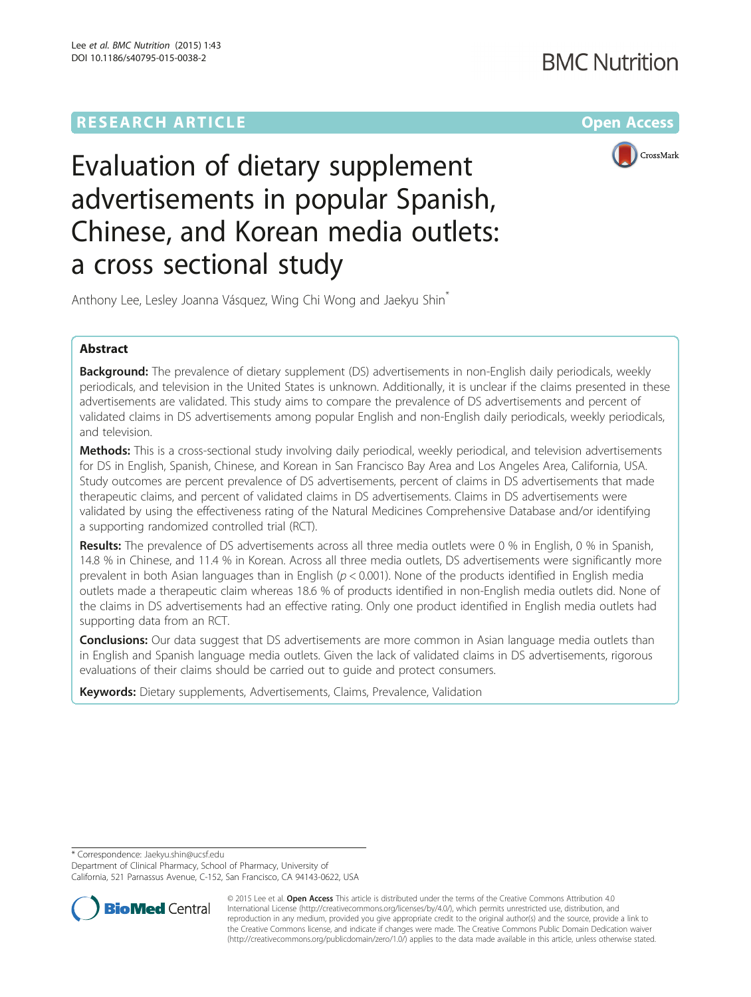## **RESEARCH ARTICLE Example 2014 12:30 The Community Community Community Community Community Community Community**



# Evaluation of dietary supplement advertisements in popular Spanish, Chinese, and Korean media outlets: a cross sectional study

Anthony Lee, Lesley Joanna Vásquez, Wing Chi Wong and Jaekyu Shin\*

## Abstract

Background: The prevalence of dietary supplement (DS) advertisements in non-English daily periodicals, weekly periodicals, and television in the United States is unknown. Additionally, it is unclear if the claims presented in these advertisements are validated. This study aims to compare the prevalence of DS advertisements and percent of validated claims in DS advertisements among popular English and non-English daily periodicals, weekly periodicals, and television.

Methods: This is a cross-sectional study involving daily periodical, weekly periodical, and television advertisements for DS in English, Spanish, Chinese, and Korean in San Francisco Bay Area and Los Angeles Area, California, USA. Study outcomes are percent prevalence of DS advertisements, percent of claims in DS advertisements that made therapeutic claims, and percent of validated claims in DS advertisements. Claims in DS advertisements were validated by using the effectiveness rating of the Natural Medicines Comprehensive Database and/or identifying a supporting randomized controlled trial (RCT).

Results: The prevalence of DS advertisements across all three media outlets were 0 % in English, 0 % in Spanish, 14.8 % in Chinese, and 11.4 % in Korean. Across all three media outlets, DS advertisements were significantly more prevalent in both Asian languages than in English ( $p < 0.001$ ). None of the products identified in English media outlets made a therapeutic claim whereas 18.6 % of products identified in non-English media outlets did. None of the claims in DS advertisements had an effective rating. Only one product identified in English media outlets had supporting data from an RCT.

**Conclusions:** Our data suggest that DS advertisements are more common in Asian language media outlets than in English and Spanish language media outlets. Given the lack of validated claims in DS advertisements, rigorous evaluations of their claims should be carried out to guide and protect consumers.

**Keywords:** Dietary supplements, Advertisements, Claims, Prevalence, Validation

\* Correspondence: [Jaekyu.shin@ucsf.edu](mailto:Jaekyu.shin@ucsf.edu)

Department of Clinical Pharmacy, School of Pharmacy, University of California, 521 Parnassus Avenue, C-152, San Francisco, CA 94143-0622, USA



© 2015 Lee et al. Open Access This article is distributed under the terms of the Creative Commons Attribution 4.0 International License [\(http://creativecommons.org/licenses/by/4.0/](http://creativecommons.org/licenses/by/4.0/)), which permits unrestricted use, distribution, and reproduction in any medium, provided you give appropriate credit to the original author(s) and the source, provide a link to the Creative Commons license, and indicate if changes were made. The Creative Commons Public Domain Dedication waiver [\(http://creativecommons.org/publicdomain/zero/1.0/](http://creativecommons.org/publicdomain/zero/1.0/)) applies to the data made available in this article, unless otherwise stated.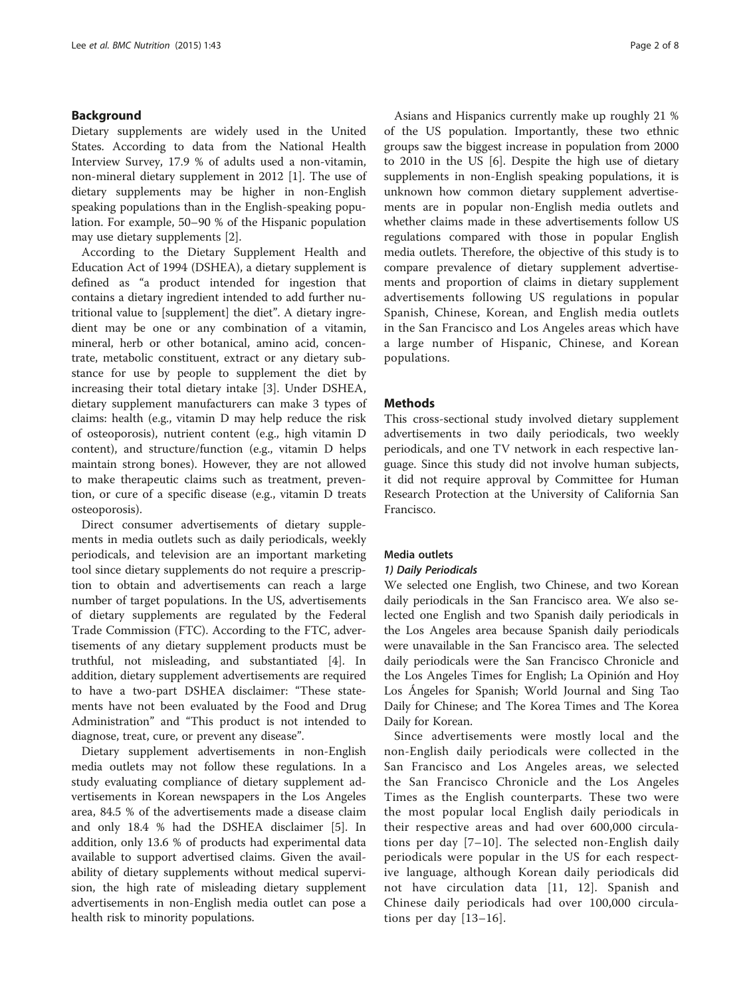## Background

Dietary supplements are widely used in the United States. According to data from the National Health Interview Survey, 17.9 % of adults used a non-vitamin, non-mineral dietary supplement in 2012 [[1\]](#page-7-0). The use of dietary supplements may be higher in non-English speaking populations than in the English-speaking population. For example, 50–90 % of the Hispanic population may use dietary supplements [\[2](#page-7-0)].

According to the Dietary Supplement Health and Education Act of 1994 (DSHEA), a dietary supplement is defined as "a product intended for ingestion that contains a dietary ingredient intended to add further nutritional value to [supplement] the diet". A dietary ingredient may be one or any combination of a vitamin, mineral, herb or other botanical, amino acid, concentrate, metabolic constituent, extract or any dietary substance for use by people to supplement the diet by increasing their total dietary intake [[3](#page-7-0)]. Under DSHEA, dietary supplement manufacturers can make 3 types of claims: health (e.g., vitamin D may help reduce the risk of osteoporosis), nutrient content (e.g., high vitamin D content), and structure/function (e.g., vitamin D helps maintain strong bones). However, they are not allowed to make therapeutic claims such as treatment, prevention, or cure of a specific disease (e.g., vitamin D treats osteoporosis).

Direct consumer advertisements of dietary supplements in media outlets such as daily periodicals, weekly periodicals, and television are an important marketing tool since dietary supplements do not require a prescription to obtain and advertisements can reach a large number of target populations. In the US, advertisements of dietary supplements are regulated by the Federal Trade Commission (FTC). According to the FTC, advertisements of any dietary supplement products must be truthful, not misleading, and substantiated [\[4](#page-7-0)]. In addition, dietary supplement advertisements are required to have a two-part DSHEA disclaimer: "These statements have not been evaluated by the Food and Drug Administration" and "This product is not intended to diagnose, treat, cure, or prevent any disease".

Dietary supplement advertisements in non-English media outlets may not follow these regulations. In a study evaluating compliance of dietary supplement advertisements in Korean newspapers in the Los Angeles area, 84.5 % of the advertisements made a disease claim and only 18.4 % had the DSHEA disclaimer [[5\]](#page-7-0). In addition, only 13.6 % of products had experimental data available to support advertised claims. Given the availability of dietary supplements without medical supervision, the high rate of misleading dietary supplement advertisements in non-English media outlet can pose a health risk to minority populations.

Asians and Hispanics currently make up roughly 21 % of the US population. Importantly, these two ethnic groups saw the biggest increase in population from 2000 to 2010 in the US [[6\]](#page-7-0). Despite the high use of dietary supplements in non-English speaking populations, it is unknown how common dietary supplement advertisements are in popular non-English media outlets and whether claims made in these advertisements follow US regulations compared with those in popular English media outlets. Therefore, the objective of this study is to compare prevalence of dietary supplement advertisements and proportion of claims in dietary supplement advertisements following US regulations in popular Spanish, Chinese, Korean, and English media outlets in the San Francisco and Los Angeles areas which have a large number of Hispanic, Chinese, and Korean populations.

## **Methods**

This cross-sectional study involved dietary supplement advertisements in two daily periodicals, two weekly periodicals, and one TV network in each respective language. Since this study did not involve human subjects, it did not require approval by Committee for Human Research Protection at the University of California San Francisco.

## Media outlets

#### 1) Daily Periodicals

We selected one English, two Chinese, and two Korean daily periodicals in the San Francisco area. We also selected one English and two Spanish daily periodicals in the Los Angeles area because Spanish daily periodicals were unavailable in the San Francisco area. The selected daily periodicals were the San Francisco Chronicle and the Los Angeles Times for English; La Opinión and Hoy Los Ángeles for Spanish; World Journal and Sing Tao Daily for Chinese; and The Korea Times and The Korea Daily for Korean.

Since advertisements were mostly local and the non-English daily periodicals were collected in the San Francisco and Los Angeles areas, we selected the San Francisco Chronicle and the Los Angeles Times as the English counterparts. These two were the most popular local English daily periodicals in their respective areas and had over 600,000 circulations per day [[7](#page-7-0)–[10\]](#page-7-0). The selected non-English daily periodicals were popular in the US for each respective language, although Korean daily periodicals did not have circulation data [[11, 12](#page-7-0)]. Spanish and Chinese daily periodicals had over 100,000 circulations per day [\[13](#page-7-0)–[16\]](#page-7-0).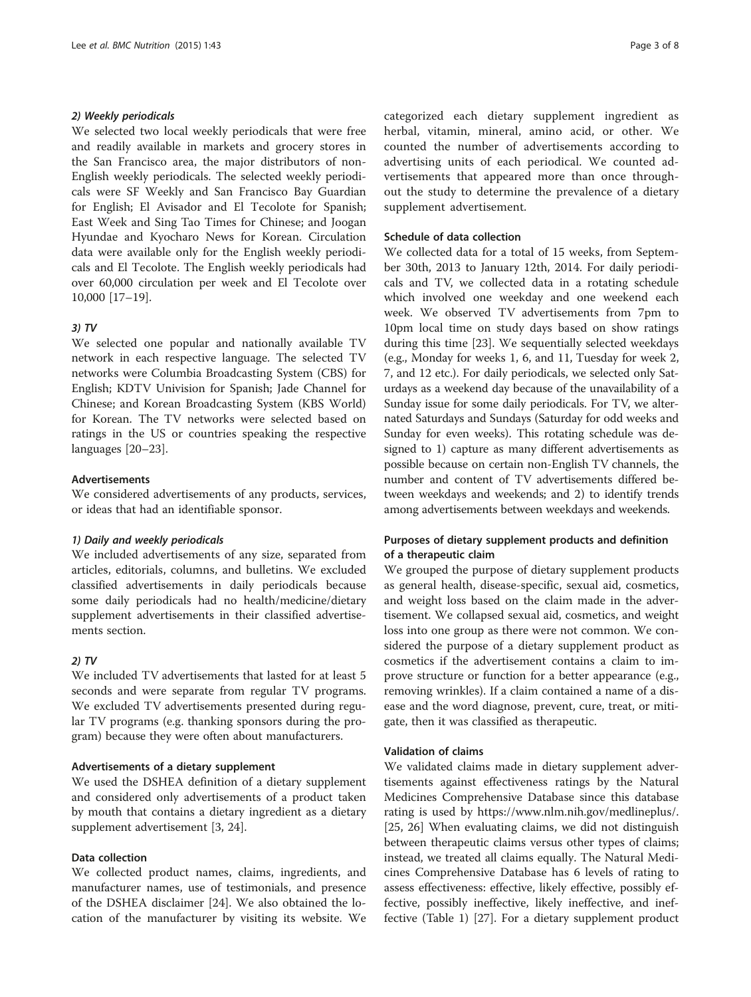## 2) Weekly periodicals

We selected two local weekly periodicals that were free and readily available in markets and grocery stores in the San Francisco area, the major distributors of non-English weekly periodicals. The selected weekly periodicals were SF Weekly and San Francisco Bay Guardian for English; El Avisador and El Tecolote for Spanish; East Week and Sing Tao Times for Chinese; and Joogan Hyundae and Kyocharo News for Korean. Circulation data were available only for the English weekly periodicals and El Tecolote. The English weekly periodicals had over 60,000 circulation per week and El Tecolote over 10,000 [[17](#page-7-0)–[19](#page-7-0)].

## 3) TV

We selected one popular and nationally available TV network in each respective language. The selected TV networks were Columbia Broadcasting System (CBS) for English; KDTV Univision for Spanish; Jade Channel for Chinese; and Korean Broadcasting System (KBS World) for Korean. The TV networks were selected based on ratings in the US or countries speaking the respective languages [[20](#page-7-0)–[23](#page-7-0)].

#### Advertisements

We considered advertisements of any products, services, or ideas that had an identifiable sponsor.

#### 1) Daily and weekly periodicals

We included advertisements of any size, separated from articles, editorials, columns, and bulletins. We excluded classified advertisements in daily periodicals because some daily periodicals had no health/medicine/dietary supplement advertisements in their classified advertisements section.

## 2) TV

We included TV advertisements that lasted for at least 5 seconds and were separate from regular TV programs. We excluded TV advertisements presented during regular TV programs (e.g. thanking sponsors during the program) because they were often about manufacturers.

#### Advertisements of a dietary supplement

We used the DSHEA definition of a dietary supplement and considered only advertisements of a product taken by mouth that contains a dietary ingredient as a dietary supplement advertisement [[3, 24](#page-7-0)].

## Data collection

We collected product names, claims, ingredients, and manufacturer names, use of testimonials, and presence of the DSHEA disclaimer [[24](#page-7-0)]. We also obtained the location of the manufacturer by visiting its website. We categorized each dietary supplement ingredient as herbal, vitamin, mineral, amino acid, or other. We counted the number of advertisements according to advertising units of each periodical. We counted advertisements that appeared more than once throughout the study to determine the prevalence of a dietary supplement advertisement.

## Schedule of data collection

We collected data for a total of 15 weeks, from September 30th, 2013 to January 12th, 2014. For daily periodicals and TV, we collected data in a rotating schedule which involved one weekday and one weekend each week. We observed TV advertisements from 7pm to 10pm local time on study days based on show ratings during this time [\[23](#page-7-0)]. We sequentially selected weekdays (e.g., Monday for weeks 1, 6, and 11, Tuesday for week 2, 7, and 12 etc.). For daily periodicals, we selected only Saturdays as a weekend day because of the unavailability of a Sunday issue for some daily periodicals. For TV, we alternated Saturdays and Sundays (Saturday for odd weeks and Sunday for even weeks). This rotating schedule was designed to 1) capture as many different advertisements as possible because on certain non-English TV channels, the number and content of TV advertisements differed between weekdays and weekends; and 2) to identify trends among advertisements between weekdays and weekends.

## Purposes of dietary supplement products and definition of a therapeutic claim

We grouped the purpose of dietary supplement products as general health, disease-specific, sexual aid, cosmetics, and weight loss based on the claim made in the advertisement. We collapsed sexual aid, cosmetics, and weight loss into one group as there were not common. We considered the purpose of a dietary supplement product as cosmetics if the advertisement contains a claim to improve structure or function for a better appearance (e.g., removing wrinkles). If a claim contained a name of a disease and the word diagnose, prevent, cure, treat, or mitigate, then it was classified as therapeutic.

#### Validation of claims

We validated claims made in dietary supplement advertisements against effectiveness ratings by the Natural Medicines Comprehensive Database since this database rating is used by<https://www.nlm.nih.gov/medlineplus/>. [[25, 26](#page-7-0)] When evaluating claims, we did not distinguish between therapeutic claims versus other types of claims; instead, we treated all claims equally. The Natural Medicines Comprehensive Database has 6 levels of rating to assess effectiveness: effective, likely effective, possibly effective, possibly ineffective, likely ineffective, and ineffective (Table [1\)](#page-3-0) [[27\]](#page-7-0). For a dietary supplement product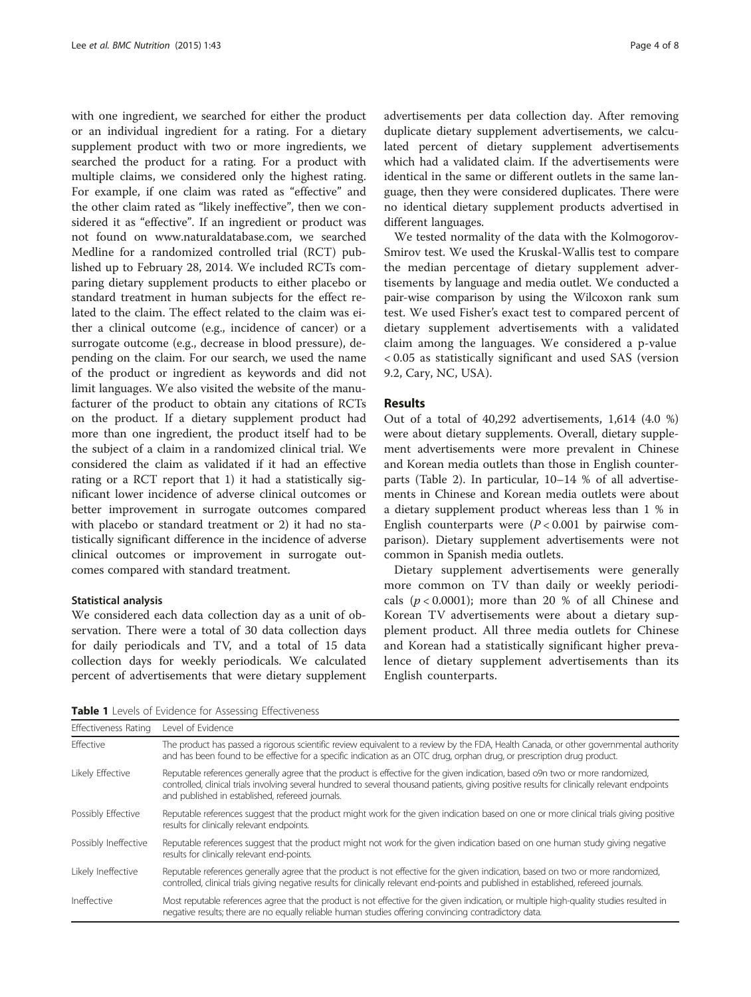<span id="page-3-0"></span>with one ingredient, we searched for either the product or an individual ingredient for a rating. For a dietary supplement product with two or more ingredients, we searched the product for a rating. For a product with multiple claims, we considered only the highest rating. For example, if one claim was rated as "effective" and the other claim rated as "likely ineffective", then we considered it as "effective". If an ingredient or product was not found on [www.naturaldatabase.com](http://www.naturaldatabase.com/), we searched Medline for a randomized controlled trial (RCT) published up to February 28, 2014. We included RCTs comparing dietary supplement products to either placebo or standard treatment in human subjects for the effect related to the claim. The effect related to the claim was either a clinical outcome (e.g., incidence of cancer) or a surrogate outcome (e.g., decrease in blood pressure), depending on the claim. For our search, we used the name of the product or ingredient as keywords and did not limit languages. We also visited the website of the manufacturer of the product to obtain any citations of RCTs on the product. If a dietary supplement product had more than one ingredient, the product itself had to be the subject of a claim in a randomized clinical trial. We considered the claim as validated if it had an effective rating or a RCT report that 1) it had a statistically significant lower incidence of adverse clinical outcomes or better improvement in surrogate outcomes compared with placebo or standard treatment or 2) it had no statistically significant difference in the incidence of adverse clinical outcomes or improvement in surrogate outcomes compared with standard treatment.

#### Statistical analysis

We considered each data collection day as a unit of observation. There were a total of 30 data collection days for daily periodicals and TV, and a total of 15 data collection days for weekly periodicals. We calculated percent of advertisements that were dietary supplement advertisements per data collection day. After removing duplicate dietary supplement advertisements, we calculated percent of dietary supplement advertisements which had a validated claim. If the advertisements were identical in the same or different outlets in the same language, then they were considered duplicates. There were no identical dietary supplement products advertised in different languages.

We tested normality of the data with the Kolmogorov-Smirov test. We used the Kruskal-Wallis test to compare the median percentage of dietary supplement advertisements by language and media outlet. We conducted a pair-wise comparison by using the Wilcoxon rank sum test. We used Fisher's exact test to compared percent of dietary supplement advertisements with a validated claim among the languages. We considered a p-value < 0.05 as statistically significant and used SAS (version 9.2, Cary, NC, USA).

## Results

Out of a total of 40,292 advertisements, 1,614 (4.0 %) were about dietary supplements. Overall, dietary supplement advertisements were more prevalent in Chinese and Korean media outlets than those in English counterparts (Table [2\)](#page-4-0). In particular, 10–14 % of all advertisements in Chinese and Korean media outlets were about a dietary supplement product whereas less than 1 % in English counterparts were  $(P < 0.001$  by pairwise comparison). Dietary supplement advertisements were not common in Spanish media outlets.

Dietary supplement advertisements were generally more common on TV than daily or weekly periodicals  $(p < 0.0001)$ ; more than 20 % of all Chinese and Korean TV advertisements were about a dietary supplement product. All three media outlets for Chinese and Korean had a statistically significant higher prevalence of dietary supplement advertisements than its English counterparts.

Table 1 Levels of Evidence for Assessing Effectiveness

| <b>Effectiveness Rating</b> | Level of Evidence                                                                                                                                                                                                                                                                                                                   |
|-----------------------------|-------------------------------------------------------------------------------------------------------------------------------------------------------------------------------------------------------------------------------------------------------------------------------------------------------------------------------------|
| <b>Fffective</b>            | The product has passed a rigorous scientific review equivalent to a review by the FDA, Health Canada, or other governmental authority<br>and has been found to be effective for a specific indication as an OTC drug, orphan drug, or prescription drug product.                                                                    |
| Likely Effective            | Reputable references generally agree that the product is effective for the given indication, based o9n two or more randomized,<br>controlled, clinical trials involving several hundred to several thousand patients, giving positive results for clinically relevant endpoints<br>and published in established, refereed journals. |
| Possibly Effective          | Reputable references suggest that the product might work for the given indication based on one or more clinical trials giving positive<br>results for clinically relevant endpoints.                                                                                                                                                |
| Possibly Ineffective        | Reputable references suggest that the product might not work for the given indication based on one human study giving negative<br>results for clinically relevant end-points.                                                                                                                                                       |
| Likely Ineffective          | Reputable references generally agree that the product is not effective for the given indication, based on two or more randomized,<br>controlled, clinical trials giving negative results for clinically relevant end-points and published in established, refereed journals.                                                        |
| Ineffective                 | Most reputable references agree that the product is not effective for the given indication, or multiple high-quality studies resulted in<br>negative results; there are no equally reliable human studies offering convincing contradictory data.                                                                                   |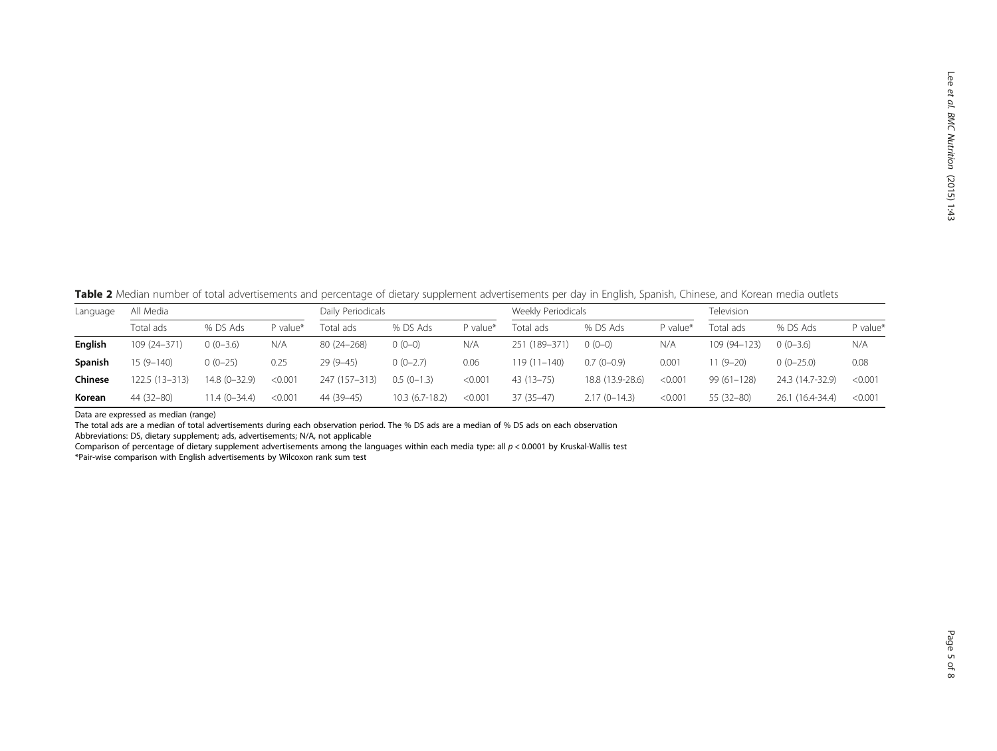<span id="page-4-0"></span>Table 2 Median number of total advertisements and percentage of dietary supplement advertisements per day in English, Spanish, Chinese, and Korean media outlets

| Language | All Media      |               |          | Daily Periodicals |                  |          | Weekly Periodicals |                  |          | Television     |                  |          |
|----------|----------------|---------------|----------|-------------------|------------------|----------|--------------------|------------------|----------|----------------|------------------|----------|
|          | Total ads      | % DS Ads      | P value* | Total ads         | % DS Ads         | P value* | Total ads          | % DS Ads         | P value* | Total ads      | % DS Ads         | P value* |
| English  | 109 (24-371)   | $0(0-3.6)$    | N/A      | 80 (24 - 268)     | $0(0-0)$         | N/A      | 251 (189-371)      | $0(0-0)$         | N/A      | 109 (94-123)   | $0(0-3.6)$       | N/A      |
| Spanish  | 15 (9–140)     | $0(0-25)$     | 0.25     | $29(9-45)$        | $0(0-2.7)$       | 0.06     | 119 (11-140)       | $0.7(0-0.9)$     | 0.001    | $11(9-20)$     | $0(0-25.0)$      | 0.08     |
| Chinese  | 122.5 (13-313) | 14.8 (0-32.9) | < 0.001  | 247 (157-313)     | $0.5(0-1.3)$     | < 0.001  | $43(13 - 75)$      | 18.8 (13.9-28.6) | < 0.001  | $99(61 - 128)$ | 24.3 (14.7-32.9) | < 0.001  |
| Korean   | 44 (32-80)     | $1.4(0-34.4)$ | < 0.001  | 44 (39–45)        | $10.3(6.7-18.2)$ | < 0.001  | $37(35-47)$        | $2.17(0-14.3)$   | < 0.001  | $55(32-80)$    | 26.1 (16.4-34.4) | < 0.001  |

Data are expressed as median (range)

The total ads are a median of total advertisements during each observation period. The % DS ads are a median of % DS ads on each observation

Abbreviations: DS, dietary supplement; ads, advertisements; N/A, not applicable

Comparison of percentage of dietary supplement advertisements among the languages within each media type: all  $p < 0.0001$  by Kruskal-Wallis test

\*Pair-wise comparison with English advertisements by Wilcoxon rank sum test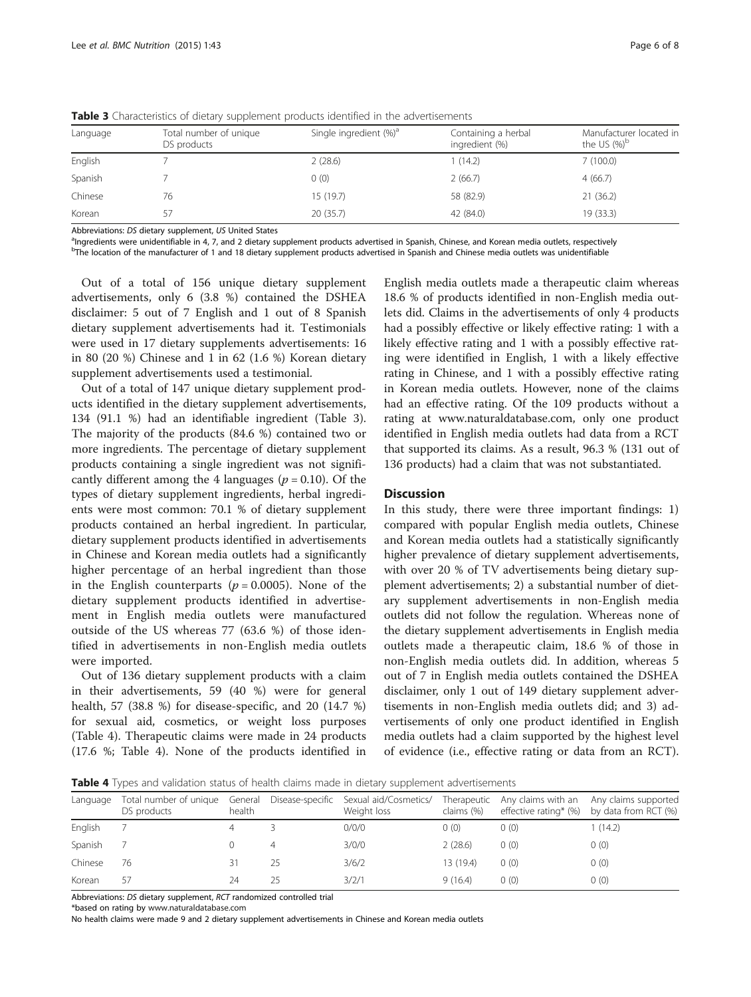| Language | Total number of unique<br>DS products | Single ingredient $(\%)^a$ | Containing a herbal<br>ingredient (%) | Manufacturer located in<br>the US $(%)^b$ |
|----------|---------------------------------------|----------------------------|---------------------------------------|-------------------------------------------|
| English  |                                       | 2(28.6)                    | 1(14.2)                               | 7(100.0)                                  |
| Spanish  |                                       | 0(0)                       | 2(66.7)                               | 4(66.7)                                   |
| Chinese  | 76                                    | 15 (19.7)                  | 58 (82.9)                             | 21(36.2)                                  |
| Korean   | 57                                    | 20(35.7)                   | 42 (84.0)                             | 19(33.3)                                  |

Table 3 Characteristics of dietary supplement products identified in the advertisements

Abbreviations: DS dietary supplement, US United States

<sup>a</sup>Ingredients were unidentifiable in 4, 7, and 2 dietary supplement products advertised in Spanish, Chinese, and Korean media outlets, respectively

bThe location of the manufacturer of 1 and 18 dietary supplement products advertised in Spanish and Chinese media outlets was unidentifiable

Out of a total of 156 unique dietary supplement advertisements, only 6 (3.8 %) contained the DSHEA disclaimer: 5 out of 7 English and 1 out of 8 Spanish dietary supplement advertisements had it. Testimonials were used in 17 dietary supplements advertisements: 16 in 80 (20 %) Chinese and 1 in 62 (1.6 %) Korean dietary supplement advertisements used a testimonial.

Out of a total of 147 unique dietary supplement products identified in the dietary supplement advertisements, 134 (91.1 %) had an identifiable ingredient (Table 3). The majority of the products (84.6 %) contained two or more ingredients. The percentage of dietary supplement products containing a single ingredient was not significantly different among the 4 languages ( $p = 0.10$ ). Of the types of dietary supplement ingredients, herbal ingredients were most common: 70.1 % of dietary supplement products contained an herbal ingredient. In particular, dietary supplement products identified in advertisements in Chinese and Korean media outlets had a significantly higher percentage of an herbal ingredient than those in the English counterparts ( $p = 0.0005$ ). None of the dietary supplement products identified in advertisement in English media outlets were manufactured outside of the US whereas 77 (63.6 %) of those identified in advertisements in non-English media outlets were imported.

Out of 136 dietary supplement products with a claim in their advertisements, 59 (40 %) were for general health, 57 (38.8 %) for disease-specific, and 20 (14.7 %) for sexual aid, cosmetics, or weight loss purposes (Table 4). Therapeutic claims were made in 24 products (17.6 %; Table 4). None of the products identified in

English media outlets made a therapeutic claim whereas 18.6 % of products identified in non-English media outlets did. Claims in the advertisements of only 4 products had a possibly effective or likely effective rating: 1 with a likely effective rating and 1 with a possibly effective rating were identified in English, 1 with a likely effective rating in Chinese, and 1 with a possibly effective rating in Korean media outlets. However, none of the claims had an effective rating. Of the 109 products without a rating at [www.naturaldatabase.com](http://www.naturaldatabase.com/), only one product identified in English media outlets had data from a RCT that supported its claims. As a result, 96.3 % (131 out of 136 products) had a claim that was not substantiated.

## **Discussion**

In this study, there were three important findings: 1) compared with popular English media outlets, Chinese and Korean media outlets had a statistically significantly higher prevalence of dietary supplement advertisements, with over 20 % of TV advertisements being dietary supplement advertisements; 2) a substantial number of dietary supplement advertisements in non-English media outlets did not follow the regulation. Whereas none of the dietary supplement advertisements in English media outlets made a therapeutic claim, 18.6 % of those in non-English media outlets did. In addition, whereas 5 out of 7 in English media outlets contained the DSHEA disclaimer, only 1 out of 149 dietary supplement advertisements in non-English media outlets did; and 3) advertisements of only one product identified in English media outlets had a claim supported by the highest level of evidence (i.e., effective rating or data from an RCT).

Table 4 Types and validation status of health claims made in dietary supplement advertisements

| Language | Total number of unique General<br>DS products | health |    | Disease-specific Sexual aid/Cosmetics/<br>Weight loss | Therapeutic<br>claims (%) | effective rating* (%) | Any claims with an Any claims supported<br>by data from RCT (%) |
|----------|-----------------------------------------------|--------|----|-------------------------------------------------------|---------------------------|-----------------------|-----------------------------------------------------------------|
| English  |                                               |        |    | 0/0/0                                                 | 0(0)                      | 0(0)                  | (14.2)                                                          |
| Spanish  |                                               |        |    | 3/0/0                                                 | 2(28.6)                   | 0(0)                  | 0(0)                                                            |
| Chinese  | 76                                            |        | 25 | 3/6/2                                                 | 13(19.4)                  | 0(0)                  | 0(0)                                                            |
| Korean   | 57                                            | 24     |    | 3/2/1                                                 | 9(16.4)                   | 0(0)                  | 0(0)                                                            |

Abbreviations: DS dietary supplement, RCT randomized controlled trial

\*based on rating by [www.naturaldatabase.com](http://www.naturaldatabase.com)

No health claims were made 9 and 2 dietary supplement advertisements in Chinese and Korean media outlets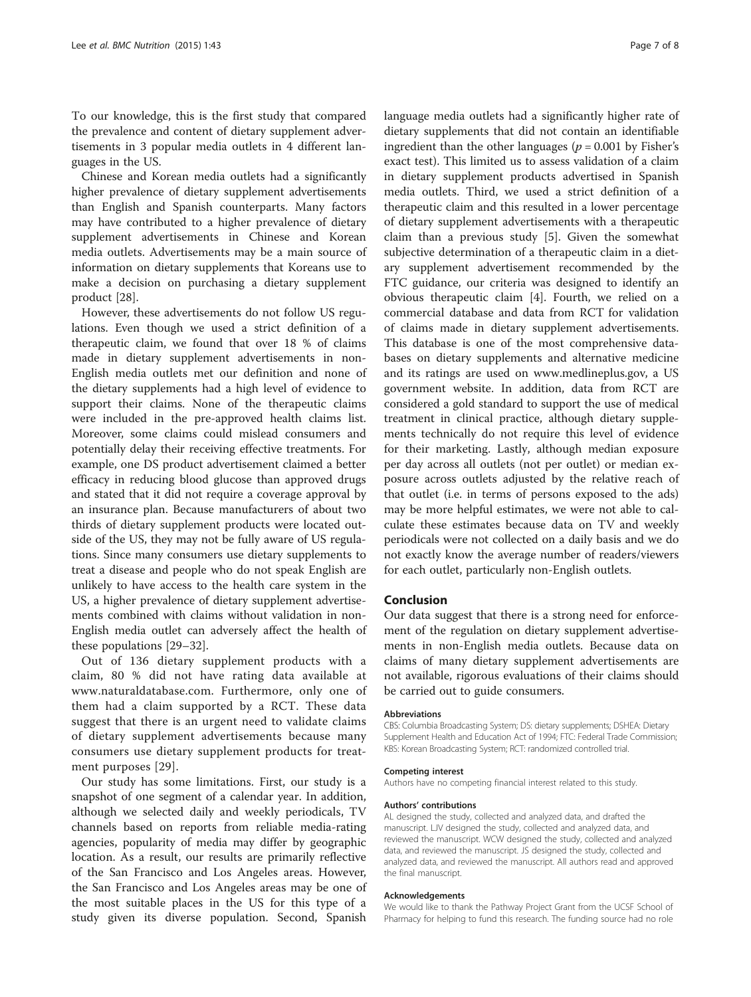To our knowledge, this is the first study that compared the prevalence and content of dietary supplement advertisements in 3 popular media outlets in 4 different languages in the US.

Chinese and Korean media outlets had a significantly higher prevalence of dietary supplement advertisements than English and Spanish counterparts. Many factors may have contributed to a higher prevalence of dietary supplement advertisements in Chinese and Korean media outlets. Advertisements may be a main source of information on dietary supplements that Koreans use to make a decision on purchasing a dietary supplement product [[28\]](#page-7-0).

However, these advertisements do not follow US regulations. Even though we used a strict definition of a therapeutic claim, we found that over 18 % of claims made in dietary supplement advertisements in non-English media outlets met our definition and none of the dietary supplements had a high level of evidence to support their claims. None of the therapeutic claims were included in the pre-approved health claims list. Moreover, some claims could mislead consumers and potentially delay their receiving effective treatments. For example, one DS product advertisement claimed a better efficacy in reducing blood glucose than approved drugs and stated that it did not require a coverage approval by an insurance plan. Because manufacturers of about two thirds of dietary supplement products were located outside of the US, they may not be fully aware of US regulations. Since many consumers use dietary supplements to treat a disease and people who do not speak English are unlikely to have access to the health care system in the US, a higher prevalence of dietary supplement advertisements combined with claims without validation in non-English media outlet can adversely affect the health of these populations [[29](#page-7-0)–[32](#page-7-0)].

Out of 136 dietary supplement products with a claim, 80 % did not have rating data available at [www.naturaldatabase.com.](http://www.naturaldatabase.com) Furthermore, only one of them had a claim supported by a RCT. These data suggest that there is an urgent need to validate claims of dietary supplement advertisements because many consumers use dietary supplement products for treatment purposes [[29](#page-7-0)].

Our study has some limitations. First, our study is a snapshot of one segment of a calendar year. In addition, although we selected daily and weekly periodicals, TV channels based on reports from reliable media-rating agencies, popularity of media may differ by geographic location. As a result, our results are primarily reflective of the San Francisco and Los Angeles areas. However, the San Francisco and Los Angeles areas may be one of the most suitable places in the US for this type of a study given its diverse population. Second, Spanish language media outlets had a significantly higher rate of dietary supplements that did not contain an identifiable ingredient than the other languages ( $p = 0.001$  by Fisher's exact test). This limited us to assess validation of a claim in dietary supplement products advertised in Spanish media outlets. Third, we used a strict definition of a therapeutic claim and this resulted in a lower percentage of dietary supplement advertisements with a therapeutic claim than a previous study [[5\]](#page-7-0). Given the somewhat subjective determination of a therapeutic claim in a dietary supplement advertisement recommended by the FTC guidance, our criteria was designed to identify an obvious therapeutic claim [\[4](#page-7-0)]. Fourth, we relied on a commercial database and data from RCT for validation of claims made in dietary supplement advertisements. This database is one of the most comprehensive databases on dietary supplements and alternative medicine and its ratings are used on [www.medlineplus.gov,](http://www.medlineplus.gov) a US government website. In addition, data from RCT are considered a gold standard to support the use of medical treatment in clinical practice, although dietary supplements technically do not require this level of evidence for their marketing. Lastly, although median exposure per day across all outlets (not per outlet) or median exposure across outlets adjusted by the relative reach of that outlet (i.e. in terms of persons exposed to the ads) may be more helpful estimates, we were not able to calculate these estimates because data on TV and weekly periodicals were not collected on a daily basis and we do not exactly know the average number of readers/viewers for each outlet, particularly non-English outlets.

## Conclusion

Our data suggest that there is a strong need for enforcement of the regulation on dietary supplement advertisements in non-English media outlets. Because data on claims of many dietary supplement advertisements are not available, rigorous evaluations of their claims should be carried out to guide consumers.

#### Abbreviations

CBS: Columbia Broadcasting System; DS: dietary supplements; DSHEA: Dietary Supplement Health and Education Act of 1994; FTC: Federal Trade Commission; KBS: Korean Broadcasting System; RCT: randomized controlled trial.

#### Competing interest

Authors have no competing financial interest related to this study.

#### Authors' contributions

AL designed the study, collected and analyzed data, and drafted the manuscript. LJV designed the study, collected and analyzed data, and reviewed the manuscript. WCW designed the study, collected and analyzed data, and reviewed the manuscript. JS designed the study, collected and analyzed data, and reviewed the manuscript. All authors read and approved the final manuscript.

#### Acknowledgements

We would like to thank the Pathway Project Grant from the UCSF School of Pharmacy for helping to fund this research. The funding source had no role